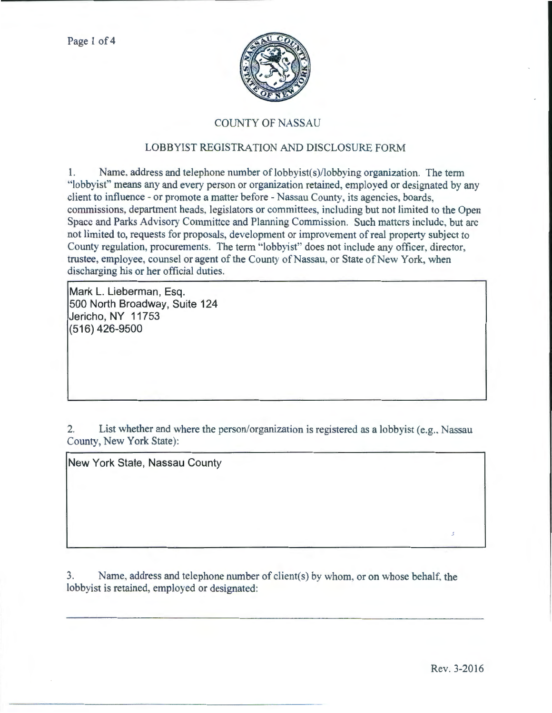

## COUNTY OF NASSAU

## LOBBYIST REGISTRATION AND DISCLOSURE FORM

1. Name, address and telephone number of lobbyist(s)/lobbying organization. The term "lobbyist" means any and every person or organization retained, employed or designated by any client to influence- or promote a matter before- Nassau County, its agencies, boards, commissions, department heads, legislators or committees, including but not limited to the Open Space and Parks Advisory Committee and Planning Commission. Such matters include, but arc not limited to, requests for proposals, development or improvement of real property subject to County regulation, procurements. The term "lobbyist" does not include any officer, director, trustee, employee, counsel or agent of the County of Nassau, or State of New York, when discharging his or her official duties.

**Mark L. Lieberman, Esq. 500 North Broadway, Suite 124 Jericho, NY 11753 (516) 426-9500** 

2. List whether and where the person/organization is registered as a lobbyist (e.g., Nassau County, New York State):

**New York State, Nassau County** 

3. Name, address and telephone number of client(s) by whom. or on whose behalf, the lobbyist is retained, employed or designated: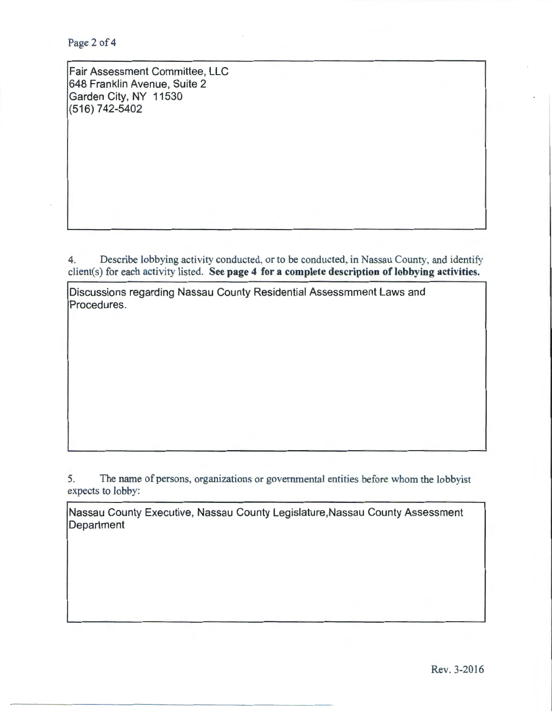Page 2 of 4

Fair Assessment Committee, LLC 648 Franklin Avenue, Suite 2 Garden City, NY 11530 (516) 742-5402

4. Describe lobbying activity conducted, or to be conducted, in Nassau County, and identify client(s) for each activity listed. See page 4 for a complete description of lobbying activities.

Discussions regarding Nassau County Residential Assessmment Laws and Procedures.

5. The name of persons, organizations or governmental entities before whom the lobbyist expects to lobby:

Nassau County Executive, Nassau County Legislature,Nassau County Assessment **Department**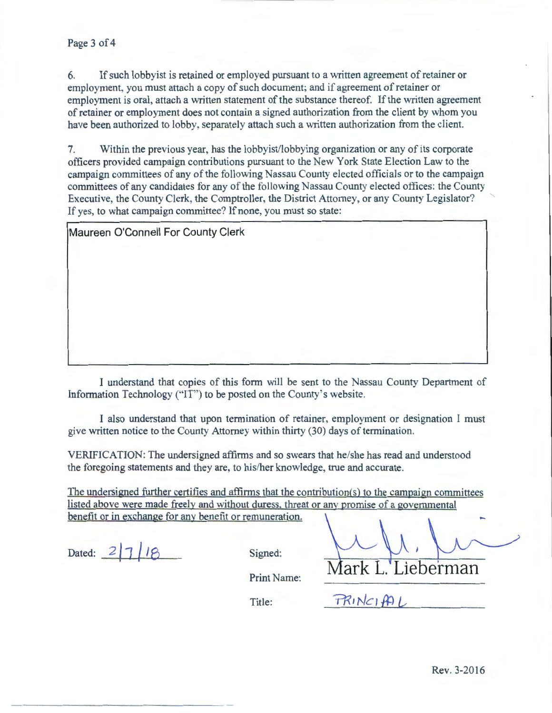## Page 3 of 4

6. If such lobbyist is retained or employed pursuant to a written agreement of retainer or employment, you must attach a copy of such document; and if agreement of retainer or employment is oral, attach a written statement of the substance thereof. If the written agreement of retainer or employment does not contain a signed authorization from the client by whom you have been authorized to lobby, separately attach such a written authorization from the client.

7. Within the previous year, has the lobbyist/lobbying organization or any of its corporate officers provided campaign contributions pursuant to the New York State Election Law to the campaign committees of any of the following Nassau County elected officials or to the campaign committees of any candidates tor any of the following Nassau County elected offices: the County Executive, the County Clerk, the Comptroller, the District Attorney, or any County Legislator? " If yes, to what campaign committee? If none, you must so state:

Maureen O'Connell For County Clerk

I understand that copies of this form will be sent to the Nassau County Department of Information Technology ("IT") to be posted on the County's website.

I also understand that upon termination of retainer, employment or designation I must give written notice to the County Attorney within thirty (30) days of termination.

VERIFICATION: The undersigned affirms and so swears that he/she has read and understood the foregoing statements and they are, to his/her knowledge, true and accurate.

The undersigned further certifies and affirms that the contribution(s) to the campaign committees listed above were made freely and without duress, threat or any promise of a governmental benefit or in exchange for any benefit or remuneration.

Dated:  $2|7|18$  Signed:

**Aark** I Lieberman

Print Name:

Title:

PRINCIAL

Rev. 3-2016